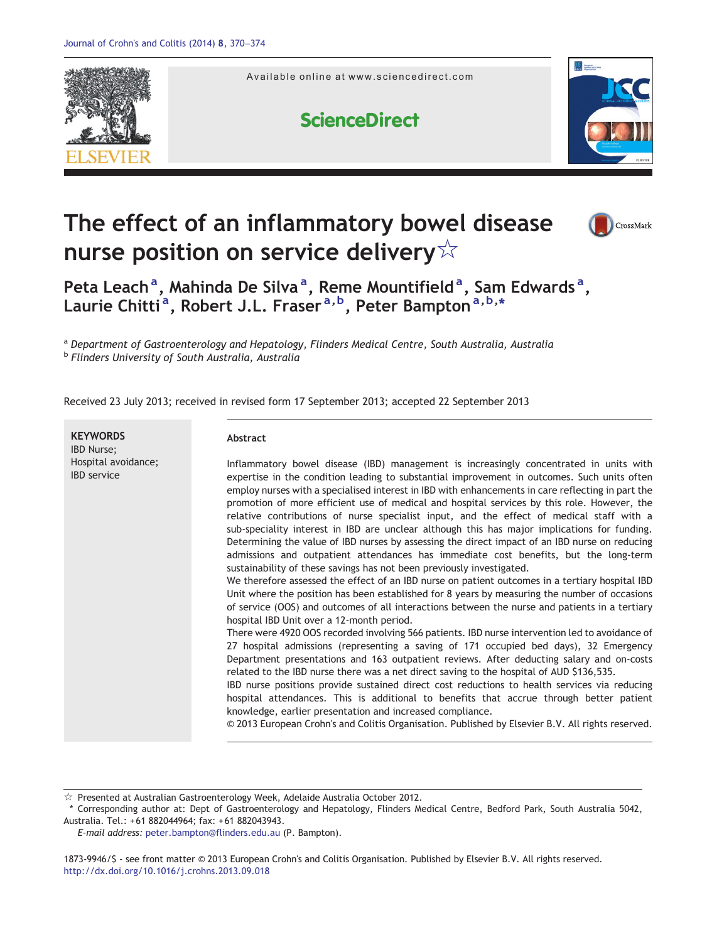

Available online at www.sciencedirect.com





# The effect of an inflammatory bowel disease nurse position on service delivery☆



Peta Leach<sup>a</sup>, Mahinda De Silva<sup>a</sup>, Reme Mountifield<sup>a</sup>, Sam Edwards<sup>a</sup>, Laurie Chitti<sup>a</sup>, Robert J.L. Fraser<sup>a, b</sup>, Peter Bampton<sup>a, b,</sup>\*

a Department of Gastroenterology and Hepatology, Flinders Medical Centre, South Australia, Australia **b Flinders University of South Australia, Australia** 

Received 23 July 2013; received in revised form 17 September 2013; accepted 22 September 2013

| <b>KEYWORDS</b><br><b>IBD Nurse:</b>      | Abstract                                                                                                                                                                                                                                                                                                                                                                                                                                                                                                                                                                                                                                                                                                                                                                                                                                                                                                                                                                                                                                                                                                                                                                                                                                                                                                                                                                                                                                                                                                                                                                                                                                                                                                                                                                                                                                                                                                                                                     |
|-------------------------------------------|--------------------------------------------------------------------------------------------------------------------------------------------------------------------------------------------------------------------------------------------------------------------------------------------------------------------------------------------------------------------------------------------------------------------------------------------------------------------------------------------------------------------------------------------------------------------------------------------------------------------------------------------------------------------------------------------------------------------------------------------------------------------------------------------------------------------------------------------------------------------------------------------------------------------------------------------------------------------------------------------------------------------------------------------------------------------------------------------------------------------------------------------------------------------------------------------------------------------------------------------------------------------------------------------------------------------------------------------------------------------------------------------------------------------------------------------------------------------------------------------------------------------------------------------------------------------------------------------------------------------------------------------------------------------------------------------------------------------------------------------------------------------------------------------------------------------------------------------------------------------------------------------------------------------------------------------------------------|
| Hospital avoidance;<br><b>IBD</b> service | Inflammatory bowel disease (IBD) management is increasingly concentrated in units with<br>expertise in the condition leading to substantial improvement in outcomes. Such units often<br>employ nurses with a specialised interest in IBD with enhancements in care reflecting in part the<br>promotion of more efficient use of medical and hospital services by this role. However, the<br>relative contributions of nurse specialist input, and the effect of medical staff with a<br>sub-speciality interest in IBD are unclear although this has major implications for funding.<br>Determining the value of IBD nurses by assessing the direct impact of an IBD nurse on reducing<br>admissions and outpatient attendances has immediate cost benefits, but the long-term<br>sustainability of these savings has not been previously investigated.<br>We therefore assessed the effect of an IBD nurse on patient outcomes in a tertiary hospital IBD<br>Unit where the position has been established for 8 years by measuring the number of occasions<br>of service (OOS) and outcomes of all interactions between the nurse and patients in a tertiary<br>hospital IBD Unit over a 12-month period.<br>There were 4920 OOS recorded involving 566 patients. IBD nurse intervention led to avoidance of<br>27 hospital admissions (representing a saving of 171 occupied bed days), 32 Emergency<br>Department presentations and 163 outpatient reviews. After deducting salary and on-costs<br>related to the IBD nurse there was a net direct saving to the hospital of AUD \$136,535.<br>IBD nurse positions provide sustained direct cost reductions to health services via reducing<br>hospital attendances. This is additional to benefits that accrue through better patient<br>knowledge, earlier presentation and increased compliance.<br>© 2013 European Crohn's and Colitis Organisation. Published by Elsevier B.V. All rights reserved. |
|                                           |                                                                                                                                                                                                                                                                                                                                                                                                                                                                                                                                                                                                                                                                                                                                                                                                                                                                                                                                                                                                                                                                                                                                                                                                                                                                                                                                                                                                                                                                                                                                                                                                                                                                                                                                                                                                                                                                                                                                                              |

☆ Presented at Australian Gastroenterology Week, Adelaide Australia October 2012.

E-mail address: [peter.bampton@flinders.edu.au](mailto:peter.bampton@flinders.edu.au) (P. Bampton).

1873-9946/\$ - see front matter © 2013 European Crohn's and Colitis Organisation. Published by Elsevier B.V. All rights reserved. <http://dx.doi.org/10.1016/j.crohns.2013.09.018>

<sup>⁎</sup> Corresponding author at: Dept of Gastroenterology and Hepatology, Flinders Medical Centre, Bedford Park, South Australia 5042, Australia. Tel.: + 61 882044964; fax: + 61 882043943.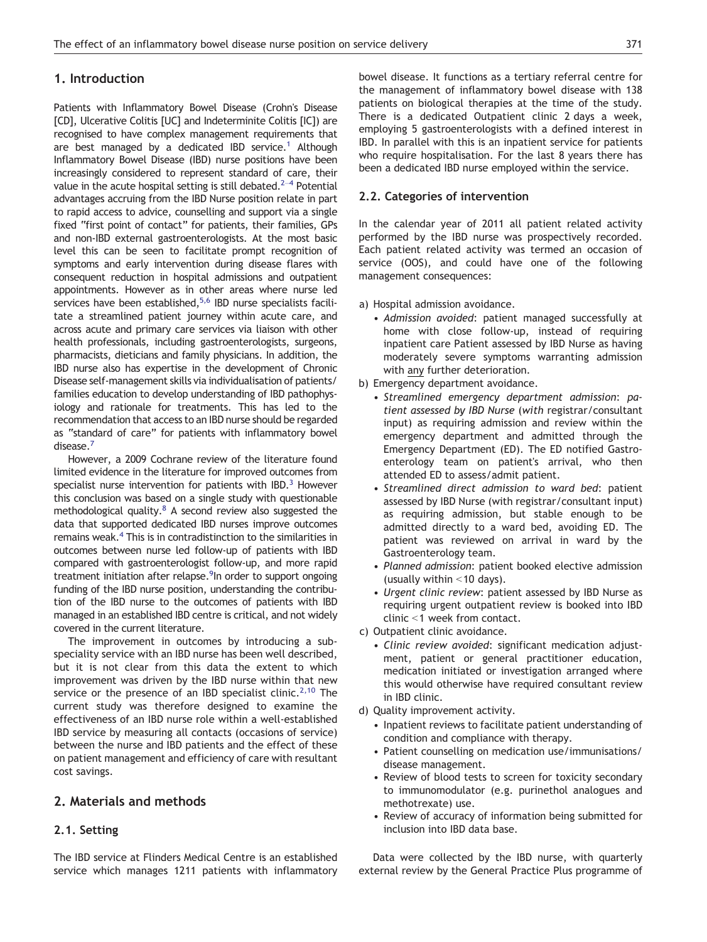# 1. Introduction

Patients with Inflammatory Bowel Disease (Crohn's Disease [CD], Ulcerative Colitis [UC] and Indeterminite Colitis [IC]) are recognised to have complex management requirements that are best managed by a dedicated IBD service.<sup>[1](#page-3-0)</sup> Although Inflammatory Bowel Disease (IBD) nurse positions have been increasingly considered to represent standard of care, their value in the acute hospital setting is still debated. $2-4$  Potential advantages accruing from the IBD Nurse position relate in part to rapid access to advice, counselling and support via a single fixed "first point of contact" for patients, their families, GPs and non-IBD external gastroenterologists. At the most basic level this can be seen to facilitate prompt recognition of symptoms and early intervention during disease flares with consequent reduction in hospital admissions and outpatient appointments. However as in other areas where nurse led services have been established,<sup>5,6</sup> IBD nurse specialists facilitate a streamlined patient journey within acute care, and across acute and primary care services via liaison with other health professionals, including gastroenterologists, surgeons, pharmacists, dieticians and family physicians. In addition, the IBD nurse also has expertise in the development of Chronic Disease self-management skills via individualisation of patients/ families education to develop understanding of IBD pathophysiology and rationale for treatments. This has led to the recommendation that access to an IBD nurse should be regarded as "standard of care" for patients with inflammatory bowel disease.<sup>7</sup>

However, a 2009 Cochrane review of the literature found limited evidence in the literature for improved outcomes from specialist nurse intervention for patients with IBD. $3$  However this conclusion was based on a single study with questionable methodological quality. $8$  A second review also suggested the data that supported dedicated IBD nurses improve outcomes remains weak.<sup>[4](#page-3-0)</sup> This is in contradistinction to the similarities in outcomes between nurse led follow-up of patients with IBD compared with gastroenterologist follow-up, and more rapid treatment initiation after relapse.<sup>9</sup> In order to support ongoing funding of the IBD nurse position, understanding the contribution of the IBD nurse to the outcomes of patients with IBD managed in an established IBD centre is critical, and not widely covered in the current literature.

The improvement in outcomes by introducing a subspeciality service with an IBD nurse has been well described, but it is not clear from this data the extent to which improvement was driven by the IBD nurse within that new service or the presence of an IBD specialist clinic.<sup>[2,10](#page-3-0)</sup> The current study was therefore designed to examine the effectiveness of an IBD nurse role within a well-established IBD service by measuring all contacts (occasions of service) between the nurse and IBD patients and the effect of these on patient management and efficiency of care with resultant cost savings.

# 2. Materials and methods

# 2.1. Setting

The IBD service at Flinders Medical Centre is an established service which manages 1211 patients with inflammatory bowel disease. It functions as a tertiary referral centre for the management of inflammatory bowel disease with 138 patients on biological therapies at the time of the study. There is a dedicated Outpatient clinic 2 days a week, employing 5 gastroenterologists with a defined interest in IBD. In parallel with this is an inpatient service for patients who require hospitalisation. For the last 8 years there has been a dedicated IBD nurse employed within the service.

## 2.2. Categories of intervention

In the calendar year of 2011 all patient related activity performed by the IBD nurse was prospectively recorded. Each patient related activity was termed an occasion of service (OOS), and could have one of the following management consequences:

- a) Hospital admission avoidance.
	- Admission avoided: patient managed successfully at home with close follow-up, instead of requiring inpatient care Patient assessed by IBD Nurse as having moderately severe symptoms warranting admission with any further deterioration.
- b) Emergency department avoidance.
	- Streamlined emergency department admission: patient assessed by IBD Nurse (with registrar/consultant input) as requiring admission and review within the emergency department and admitted through the Emergency Department (ED). The ED notified Gastroenterology team on patient's arrival, who then attended ED to assess/admit patient.
	- Streamlined direct admission to ward bed: patient assessed by IBD Nurse (with registrar/consultant input) as requiring admission, but stable enough to be admitted directly to a ward bed, avoiding ED. The patient was reviewed on arrival in ward by the Gastroenterology team.
	- Planned admission: patient booked elective admission (usually within  $\leq$ 10 days).
	- Urgent clinic review: patient assessed by IBD Nurse as requiring urgent outpatient review is booked into IBD clinic <1 week from contact.
- c) Outpatient clinic avoidance.
	- Clinic review avoided: significant medication adjustment, patient or general practitioner education, medication initiated or investigation arranged where this would otherwise have required consultant review in IBD clinic.
- d) Quality improvement activity.
	- Inpatient reviews to facilitate patient understanding of condition and compliance with therapy.
	- Patient counselling on medication use/immunisations/ disease management.
	- Review of blood tests to screen for toxicity secondary to immunomodulator (e.g. purinethol analogues and methotrexate) use.
	- Review of accuracy of information being submitted for inclusion into IBD data base.

Data were collected by the IBD nurse, with quarterly external review by the General Practice Plus programme of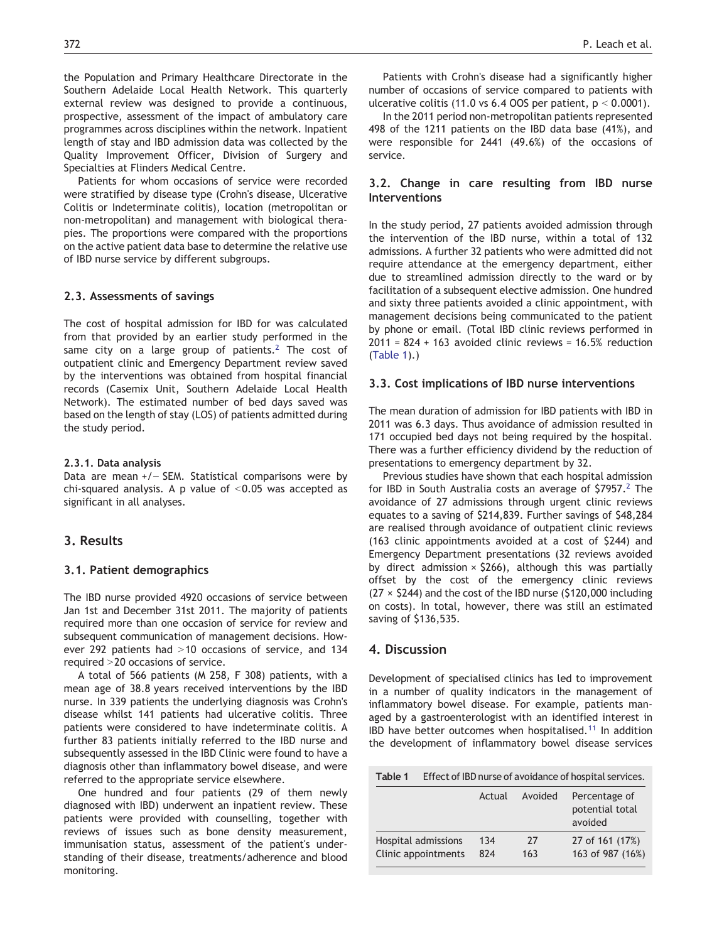the Population and Primary Healthcare Directorate in the Southern Adelaide Local Health Network. This quarterly external review was designed to provide a continuous, prospective, assessment of the impact of ambulatory care programmes across disciplines within the network. Inpatient length of stay and IBD admission data was collected by the Quality Improvement Officer, Division of Surgery and Specialties at Flinders Medical Centre.

Patients for whom occasions of service were recorded were stratified by disease type (Crohn's disease, Ulcerative Colitis or Indeterminate colitis), location (metropolitan or non-metropolitan) and management with biological therapies. The proportions were compared with the proportions on the active patient data base to determine the relative use of IBD nurse service by different subgroups.

#### 2.3. Assessments of savings

The cost of hospital admission for IBD for was calculated from that provided by an earlier study performed in the same city on a large group of patients. $2$  The cost of outpatient clinic and Emergency Department review saved by the interventions was obtained from hospital financial records (Casemix Unit, Southern Adelaide Local Health Network). The estimated number of bed days saved was based on the length of stay (LOS) of patients admitted during the study period.

#### 2.3.1. Data analysis

Data are mean +/− SEM. Statistical comparisons were by chi-squared analysis. A p value of  $\leq$ 0.05 was accepted as significant in all analyses.

## 3. Results

### 3.1. Patient demographics

The IBD nurse provided 4920 occasions of service between Jan 1st and December 31st 2011. The majority of patients required more than one occasion of service for review and subsequent communication of management decisions. However 292 patients had  $>10$  occasions of service, and 134 required  $>$  20 occasions of service.

A total of 566 patients (M 258, F 308) patients, with a mean age of 38.8 years received interventions by the IBD nurse. In 339 patients the underlying diagnosis was Crohn's disease whilst 141 patients had ulcerative colitis. Three patients were considered to have indeterminate colitis. A further 83 patients initially referred to the IBD nurse and subsequently assessed in the IBD Clinic were found to have a diagnosis other than inflammatory bowel disease, and were referred to the appropriate service elsewhere.

One hundred and four patients (29 of them newly diagnosed with IBD) underwent an inpatient review. These patients were provided with counselling, together with reviews of issues such as bone density measurement, immunisation status, assessment of the patient's understanding of their disease, treatments/adherence and blood monitoring.

Patients with Crohn's disease had a significantly higher number of occasions of service compared to patients with ulcerative colitis (11.0 vs 6.4 OOS per patient,  $p < 0.0001$ ).

In the 2011 period non-metropolitan patients represented 498 of the 1211 patients on the IBD data base (41%), and were responsible for 2441 (49.6%) of the occasions of service.

### 3.2. Change in care resulting from IBD nurse Interventions

In the study period, 27 patients avoided admission through the intervention of the IBD nurse, within a total of 132 admissions. A further 32 patients who were admitted did not require attendance at the emergency department, either due to streamlined admission directly to the ward or by facilitation of a subsequent elective admission. One hundred and sixty three patients avoided a clinic appointment, with management decisions being communicated to the patient by phone or email. (Total IBD clinic reviews performed in  $2011 = 824 + 163$  avoided clinic reviews = 16.5% reduction (Table 1).)

#### 3.3. Cost implications of IBD nurse interventions

The mean duration of admission for IBD patients with IBD in 2011 was 6.3 days. Thus avoidance of admission resulted in 171 occupied bed days not being required by the hospital. There was a further efficiency dividend by the reduction of presentations to emergency department by 32.

Previous studies have shown that each hospital admission for IBD in South Australia costs an average of  $$7957.<sup>2</sup>$  $$7957.<sup>2</sup>$  $$7957.<sup>2</sup>$  The avoidance of 27 admissions through urgent clinic reviews equates to a saving of \$214,839. Further savings of \$48,284 are realised through avoidance of outpatient clinic reviews (163 clinic appointments avoided at a cost of \$244) and Emergency Department presentations (32 reviews avoided by direct admission  $\times$  \$266), although this was partially offset by the cost of the emergency clinic reviews  $(27 \times $244)$  and the cost of the IBD nurse (\$120,000 including on costs). In total, however, there was still an estimated saving of \$136,535.

#### 4. Discussion

Development of specialised clinics has led to improvement in a number of quality indicators in the management of inflammatory bowel disease. For example, patients managed by a gastroenterologist with an identified interest in IBD have better outcomes when hospitalised.<sup>[11](#page-4-0)</sup> In addition the development of inflammatory bowel disease services

Table 1 Effect of IBD nurse of avoidance of hospital services.

|                     | Actual | Avoided | Percentage of<br>potential total<br>avoided |
|---------------------|--------|---------|---------------------------------------------|
| Hospital admissions | 134    | 27      | 27 of 161 (17%)                             |
| Clinic appointments | 824    | 163     | 163 of 987 (16%)                            |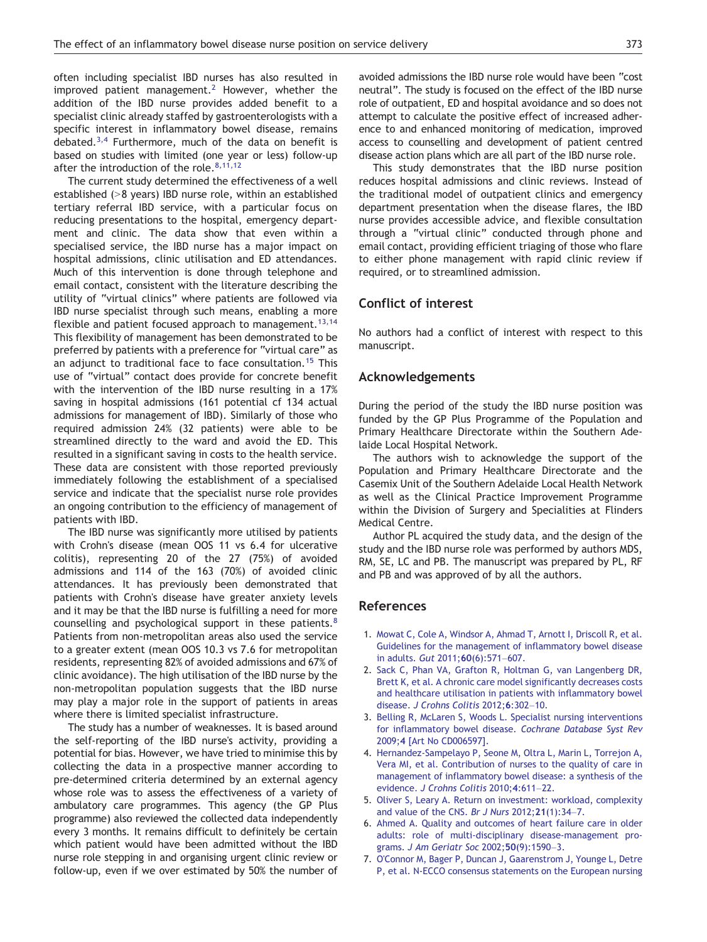<span id="page-3-0"></span>often including specialist IBD nurses has also resulted in improved patient management.<sup>2</sup> However, whether the addition of the IBD nurse provides added benefit to a specialist clinic already staffed by gastroenterologists with a specific interest in inflammatory bowel disease, remains debated. $3,4$  Furthermore, much of the data on benefit is based on studies with limited (one year or less) follow-up after the introduction of the role.  $8,11,12$ 

The current study determined the effectiveness of a well established  $(>\,8$  years) IBD nurse role, within an established tertiary referral IBD service, with a particular focus on reducing presentations to the hospital, emergency department and clinic. The data show that even within a specialised service, the IBD nurse has a major impact on hospital admissions, clinic utilisation and ED attendances. Much of this intervention is done through telephone and email contact, consistent with the literature describing the utility of "virtual clinics" where patients are followed via IBD nurse specialist through such means, enabling a more flexible and patient focused approach to management.<sup>[13,14](#page-4-0)</sup> This flexibility of management has been demonstrated to be preferred by patients with a preference for "virtual care" as an adjunct to traditional face to face consultation.<sup>[15](#page-4-0)</sup> This use of "virtual" contact does provide for concrete benefit with the intervention of the IBD nurse resulting in a 17% saving in hospital admissions (161 potential cf 134 actual admissions for management of IBD). Similarly of those who required admission 24% (32 patients) were able to be streamlined directly to the ward and avoid the ED. This resulted in a significant saving in costs to the health service. These data are consistent with those reported previously immediately following the establishment of a specialised service and indicate that the specialist nurse role provides an ongoing contribution to the efficiency of management of patients with IBD.

The IBD nurse was significantly more utilised by patients with Crohn's disease (mean OOS 11 vs 6.4 for ulcerative colitis), representing 20 of the 27 (75%) of avoided admissions and 114 of the 163 (70%) of avoided clinic attendances. It has previously been demonstrated that patients with Crohn's disease have greater anxiety levels and it may be that the IBD nurse is fulfilling a need for more counselling and psychological support in these patients.<sup>[8](#page-4-0)</sup> Patients from non-metropolitan areas also used the service to a greater extent (mean OOS 10.3 vs 7.6 for metropolitan residents, representing 82% of avoided admissions and 67% of clinic avoidance). The high utilisation of the IBD nurse by the non-metropolitan population suggests that the IBD nurse may play a major role in the support of patients in areas where there is limited specialist infrastructure.

The study has a number of weaknesses. It is based around the self-reporting of the IBD nurse's activity, providing a potential for bias. However, we have tried to minimise this by collecting the data in a prospective manner according to pre-determined criteria determined by an external agency whose role was to assess the effectiveness of a variety of ambulatory care programmes. This agency (the GP Plus programme) also reviewed the collected data independently every 3 months. It remains difficult to definitely be certain which patient would have been admitted without the IBD nurse role stepping in and organising urgent clinic review or follow-up, even if we over estimated by 50% the number of

avoided admissions the IBD nurse role would have been "cost neutral". The study is focused on the effect of the IBD nurse role of outpatient, ED and hospital avoidance and so does not attempt to calculate the positive effect of increased adherence to and enhanced monitoring of medication, improved access to counselling and development of patient centred disease action plans which are all part of the IBD nurse role.

This study demonstrates that the IBD nurse position reduces hospital admissions and clinic reviews. Instead of the traditional model of outpatient clinics and emergency department presentation when the disease flares, the IBD nurse provides accessible advice, and flexible consultation through a "virtual clinic" conducted through phone and email contact, providing efficient triaging of those who flare to either phone management with rapid clinic review if required, or to streamlined admission.

# Conflict of interest

No authors had a conflict of interest with respect to this manuscript.

#### Acknowledgements

During the period of the study the IBD nurse position was funded by the GP Plus Programme of the Population and Primary Healthcare Directorate within the Southern Adelaide Local Hospital Network.

The authors wish to acknowledge the support of the Population and Primary Healthcare Directorate and the Casemix Unit of the Southern Adelaide Local Health Network as well as the Clinical Practice Improvement Programme within the Division of Surgery and Specialities at Flinders Medical Centre.

Author PL acquired the study data, and the design of the study and the IBD nurse role was performed by authors MDS, RM, SE, LC and PB. The manuscript was prepared by PL, RF and PB and was approved of by all the authors.

## References

- 1. [Mowat C, Cole A, Windsor A, Ahmad T, Arnott I, Driscoll R, et al.](http://refhub.elsevier.com//rf0070) [Guidelines for the management of inflammatory bowel disease](http://refhub.elsevier.com//rf0070) [in adults.](http://refhub.elsevier.com//rf0070) Gut 2011;60(6):571–607.
- 2. [Sack C, Phan VA, Grafton R, Holtman G, van Langenberg DR,](http://refhub.elsevier.com//rf0005) [Brett K, et al. A chronic care model significantly decreases costs](http://refhub.elsevier.com//rf0005) [and healthcare utilisation in patients with inflammatory bowel](http://refhub.elsevier.com//rf0005) disease. [J Crohns Colitis](http://refhub.elsevier.com//rf0005) 2012;6:302–10.
- 3. [Belling R, McLaren S, Woods L. Specialist nursing interventions](http://refhub.elsevier.com//rf0075) [for inflammatory bowel disease.](http://refhub.elsevier.com//rf0075) Cochrane Database Syst Rev 2009;4 [\[Art No CD006597\].](http://refhub.elsevier.com//rf0075)
- 4. [Hernandez-Sampelayo P, Seone M, Oltra L, Marin L, Torrejon A,](http://refhub.elsevier.com//rf0010) [Vera MI, et al. Contribution of nurses to the quality of care in](http://refhub.elsevier.com//rf0010) [management of inflammatory bowel disease: a synthesis of the](http://refhub.elsevier.com//rf0010) evidence. [J Crohns Colitis](http://refhub.elsevier.com//rf0010) 2010;4:611–22.
- 5. [Oliver S, Leary A. Return on investment: workload, complexity](http://refhub.elsevier.com//rf0015) [and value of the CNS.](http://refhub.elsevier.com//rf0015) Br J Nurs 2012;21(1):34–7.
- 6. [Ahmed A. Quality and outcomes of heart failure care in older](http://refhub.elsevier.com//rf0020) [adults: role of multi-disciplinary disease-management pro](http://refhub.elsevier.com//rf0020)grams. [J Am Geriatr Soc](http://refhub.elsevier.com//rf0020) 2002;50(9):1590–3.
- 7. [O'Connor M, Bager P, Duncan J, Gaarenstrom J, Younge L, Detre](http://refhub.elsevier.com//rf0025) [P, et al. N-ECCO consensus statements on the European nursing](http://refhub.elsevier.com//rf0025)